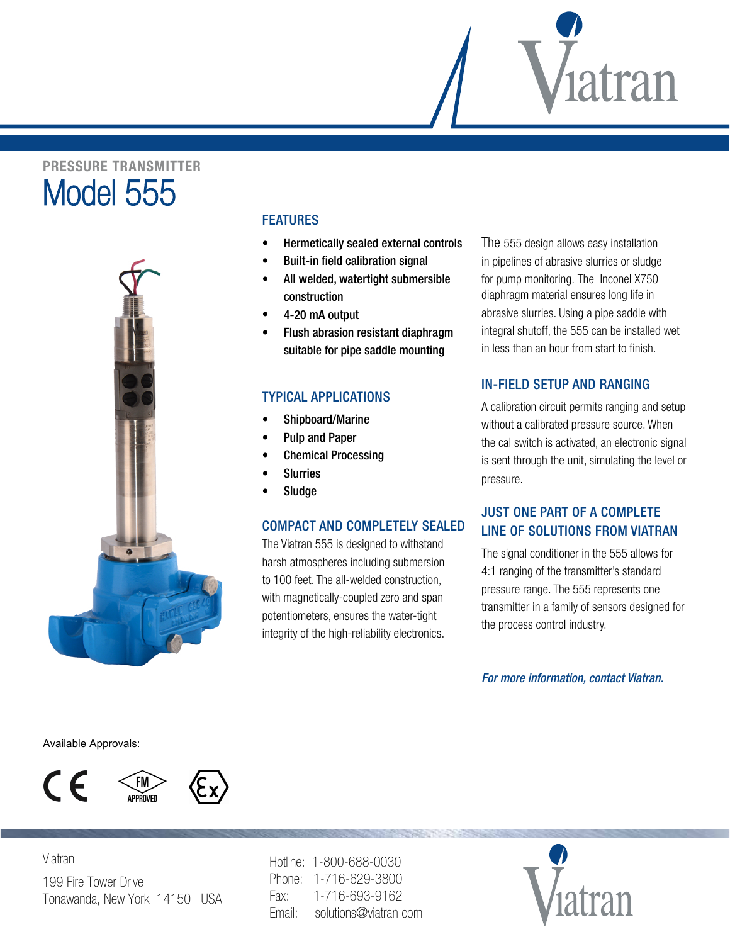# **PRESSURE TRANSMITTER** Model 555



## FEATUREs

- Hermetically sealed external controls
- Built-in field calibration signal
- All welded, watertight submersible construction
- 4-20 mA output
- Flush abrasion resistant diaphragm suitable for pipe saddle mounting

## typical applications

- Shipboard/Marine
- Pulp and Paper
- Chemical Processing
- **Slurries**
- **Sludge**

### compact and completely sealed

The Viatran 555 is designed to withstand harsh atmospheres including submersion to 100 feet. The all-welded construction, with magnetically-coupled zero and span potentiometers, ensures the water-tight integrity of the high-reliability electronics. The 555 design allows easy installation in pipelines of abrasive slurries or sludge for pump monitoring. The Inconel X750 diaphragm material ensures long life in abrasive slurries. Using a pipe saddle with integral shutoff, the 555 can be installed wet in less than an hour from start to finish.

,<br>1atran

## in-field setup and ranging

A calibration circuit permits ranging and setup without a calibrated pressure source. When the cal switch is activated, an electronic signal is sent through the unit, simulating the level or pressure.

# Just one part of a complete line of solutions from viatran

The signal conditioner in the 555 allows for 4:1 ranging of the transmitter's standard pressure range. The 555 represents one transmitter in a family of sensors designed for the process control industry.

*For more information, contact Viatran.*

Available Approvals:

Viatran 





199 Fire Tower Drive Tonawanda, New York 14150 USA Hotline: 1-800-688-0030 Phone: 1-716-629-3800 Fax: 1-716-693-9162 Email: solutions@viatran.com

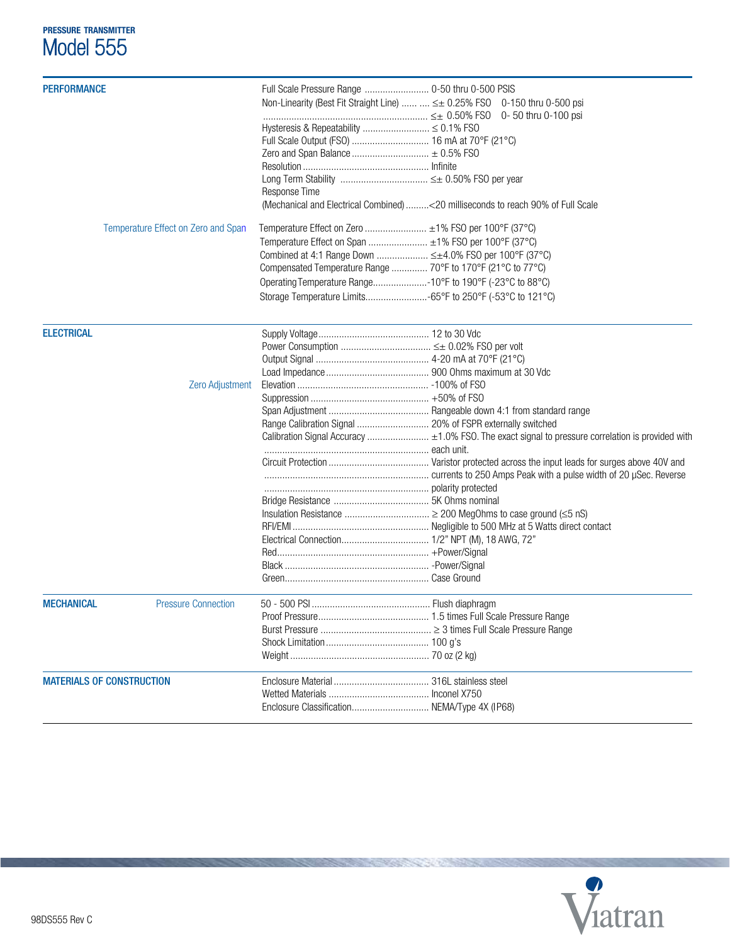# **PRESSURE TRANSMITTER** Model 555

| <b>PERFORMANCE</b>               |                                     |                                                             |                                                                                                   |
|----------------------------------|-------------------------------------|-------------------------------------------------------------|---------------------------------------------------------------------------------------------------|
|                                  |                                     |                                                             | Non-Linearity (Best Fit Straight Line)   ≤± 0.25% FS0 0-150 thru 0-500 psi                        |
|                                  |                                     |                                                             | 0- 50 thru 0-100 psi                                                                              |
|                                  |                                     | Hysteresis & Repeatability  ≤ 0.1% FSO                      |                                                                                                   |
|                                  |                                     |                                                             |                                                                                                   |
|                                  |                                     |                                                             |                                                                                                   |
|                                  |                                     |                                                             |                                                                                                   |
|                                  |                                     | Long Term Stability  ≤± 0.50% FS0 per year                  |                                                                                                   |
|                                  |                                     | Response Time                                               |                                                                                                   |
|                                  |                                     |                                                             | (Mechanical and Electrical Combined) < 20 milliseconds to reach 90% of Full Scale                 |
|                                  | Temperature Effect on Zero and Span | Temperature Effect on Zero  ±1% FSO per 100°F (37°C)        |                                                                                                   |
|                                  |                                     | Temperature Effect on Span  ±1% FSO per 100°F (37°C)        |                                                                                                   |
|                                  |                                     | Combined at 4:1 Range Down  ≤±4.0% FSO per 100°F (37°C)     |                                                                                                   |
|                                  |                                     | Compensated Temperature Range  70°F to 170°F (21°C to 77°C) |                                                                                                   |
|                                  |                                     | Operating Temperature Range-10°F to 190°F (-23°C to 88°C)   |                                                                                                   |
|                                  |                                     |                                                             |                                                                                                   |
|                                  |                                     |                                                             |                                                                                                   |
| <b>ELECTRICAL</b>                |                                     |                                                             |                                                                                                   |
|                                  |                                     |                                                             |                                                                                                   |
|                                  |                                     |                                                             |                                                                                                   |
|                                  |                                     |                                                             |                                                                                                   |
|                                  | Zero Adjustment                     |                                                             |                                                                                                   |
|                                  |                                     |                                                             |                                                                                                   |
|                                  |                                     |                                                             |                                                                                                   |
|                                  |                                     | Range Calibration Signal  20% of FSPR externally switched   |                                                                                                   |
|                                  |                                     |                                                             | Calibration Signal Accuracy  ±1.0% FSO. The exact signal to pressure correlation is provided with |
|                                  |                                     |                                                             |                                                                                                   |
|                                  |                                     |                                                             |                                                                                                   |
|                                  |                                     |                                                             |                                                                                                   |
|                                  |                                     |                                                             |                                                                                                   |
|                                  |                                     |                                                             |                                                                                                   |
|                                  |                                     |                                                             |                                                                                                   |
|                                  |                                     |                                                             |                                                                                                   |
|                                  |                                     |                                                             |                                                                                                   |
|                                  |                                     |                                                             |                                                                                                   |
|                                  |                                     |                                                             |                                                                                                   |
|                                  |                                     |                                                             |                                                                                                   |
| <b>MECHANICAL</b>                | <b>Pressure Connection</b>          |                                                             |                                                                                                   |
|                                  |                                     |                                                             |                                                                                                   |
|                                  |                                     |                                                             |                                                                                                   |
|                                  |                                     |                                                             |                                                                                                   |
|                                  |                                     |                                                             |                                                                                                   |
| <b>MATERIALS OF CONSTRUCTION</b> |                                     |                                                             |                                                                                                   |
|                                  |                                     |                                                             |                                                                                                   |
|                                  |                                     | Enclosure Classification NEMA/Type 4X (IP68)                |                                                                                                   |
|                                  |                                     |                                                             |                                                                                                   |